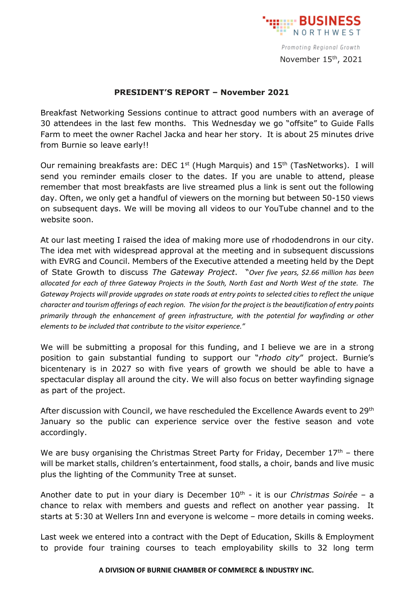

Promoting Regional Growth November 15 th, 2021

## **PRESIDENT'S REPORT – November 2021**

Breakfast Networking Sessions continue to attract good numbers with an average of 30 attendees in the last few months. This Wednesday we go "offsite" to Guide Falls Farm to meet the owner Rachel Jacka and hear her story. It is about 25 minutes drive from Burnie so leave early!!

Our remaining breakfasts are: DEC  $1<sup>st</sup>$  (Hugh Marquis) and  $15<sup>th</sup>$  (TasNetworks). I will send you reminder emails closer to the dates. If you are unable to attend, please remember that most breakfasts are live streamed plus a link is sent out the following day. Often, we only get a handful of viewers on the morning but between 50-150 views on subsequent days. We will be moving all videos to our YouTube channel and to the website soon.

At our last meeting I raised the idea of making more use of rhododendrons in our city. The idea met with widespread approval at the meeting and in subsequent discussions with EVRG and Council. Members of the Executive attended a meeting held by the Dept of State Growth to discuss *The Gateway Project*. "*Over five years, \$2.66 million has been allocated for each of three Gateway Projects in the South, North East and North West of the state. The Gateway Projects will provide upgrades on state roads at entry points to selected cities to reflect the unique character and tourism offerings of each region. The vision for the project is the beautification of entry points primarily through the enhancement of green infrastructure, with the potential for wayfinding or other elements to be included that contribute to the visitor experience."*

We will be submitting a proposal for this funding, and I believe we are in a strong position to gain substantial funding to support our "*rhodo city*" project. Burnie's bicentenary is in 2027 so with five years of growth we should be able to have a spectacular display all around the city. We will also focus on better wayfinding signage as part of the project.

After discussion with Council, we have rescheduled the Excellence Awards event to 29<sup>th</sup> January so the public can experience service over the festive season and vote accordingly.

We are busy organising the Christmas Street Party for Friday, December  $17<sup>th</sup>$  – there will be market stalls, children's entertainment, food stalls, a choir, bands and live music plus the lighting of the Community Tree at sunset.

Another date to put in your diary is December 10th - it is our *Christmas Soirée* – a chance to relax with members and guests and reflect on another year passing. It starts at 5:30 at Wellers Inn and everyone is welcome – more details in coming weeks.

Last week we entered into a contract with the Dept of Education, Skills & Employment to provide four training courses to teach employability skills to 32 long term

## **A DIVISION OF BURNIE CHAMBER OF COMMERCE & INDUSTRY INC.**